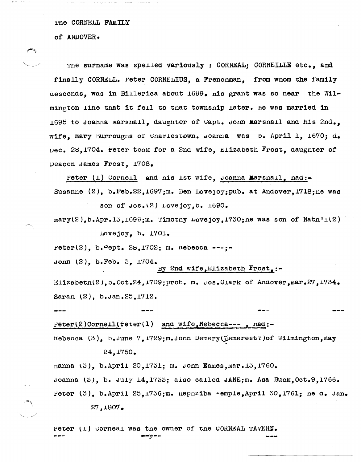THE CORNELL FAMILY

of ANDOVER.

The surname was spelled variously : CORNEAL: CORNEILLE etc., and finally CORNELL. Peter CORNELIUS. a Frenchman. from whom the family descends, was in Billerica about 1699. nis grant was so near the Wilmington line that it fell to that township later. He was married in 1695 to Joanna marsnall, daughter of Capt. John Marsnall and his 2nd. wife, mary Burrougns of Cnarlestown. Joanne was b. April 1, 1670; d. Dec. 28.1704. Peter took for a 2nd wife. Elizabeth  $F$ rost, daughter of Deacon James Frost, 1708.

Peter (1) Corneil and nis Ist wife, Joanna Marsnail, nad:-Susanne (2), b.Feb.22,1697;m. Ben Lovejoy; pub. at Andover, 1718; ne was

son of  $cos(2)$  Lovejoy,  $b. 1690.$ 

 $\texttt{mary}(2)$ , b.Apr. 13, 1699; m. Timotny Lovejoy, 1730; ne was son of Nath'1(2) Lovejoy, b. 1701.

reter(2). b.  $2ept.$  28,1702; m.  $nebecca$  ---;-

Jonn  $(2)$ , b. Feb. 3, 1704.

By 2nd wife, Elizabeth Frost, :-

Elizabetn(2), b. Oct.24, 1709; prob. m. Jos.Clark of Andover, Mar.27, 1734. Saran (2), b. Jan. 25, 1712.

Peter(2)Cornell(reter(1) and wife, Nebecca---, nad:-

Rebecca  $(3)$ , b.June 7,1729; m.Jonn Demery( $\beta$ emerest?) of Wilmington, May 24.1750.

nanna (3), b.April 20,1751; m. Jonn Eames, Mar. 13,1760. Joanna (3), b. July 14, 1733; also called JANE; m. Asa Buck. Oct. 9.1766. Peter (3), b. April 25.1736; m. nepnziba  $\text{-emple}$ , April 30.1761; ne d. Jan.

27,1807.

Peter (1) Corneal was the owner of the CORNEAL TAVERN. ---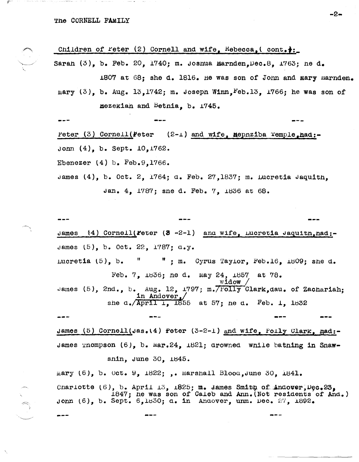The CORNELL FAMILY

Children of Feter (2) Cornell and wife,  $k$ ebecca, (cont.): Sarah  $(3)$ , b. Feb. 20, 1740; m. Joshua Harnden, Dec. 8, 1763; ne d. 1807 at 68; she d. 1816. He was son of John and mary marnden. mary  $(3)$ , b. Aug. 13, 1742; m. Joseph Winn, Feb. 13, 1766; he was son of **Hezekian and Betnia, b. 1745.** Peter  $(3)$  Cornell (Feter  $(2-1)$  and wife, nepnziba Temple, had:-John  $(4)$ , b. Sept.  $10,1762$ . Ebenezer  $(4)$  b. Feb.9,1766. James  $(4)$ , b. Oct. 2, 1764; d. Feb. 27,1837; m. Lucretia Jaquith. Jan. 4, 1787; sne d. Feb. 7, 1836 at 68.  $(4)$  Cornell(Feter (3 -2-1) and wife, Lucretia Jaquitn, had:- $J$ ames James  $(5)$ , b. Oct. 22, 1787;  $a_{\bullet}y_{\bullet}$  $\mathbf{H}$ ; m. Cyrus Tayior, Feb.16, i809; she d. Lucretia  $(5)$ , b. Feb. 7, 1836; he d. May 24, 1857 at 78. widow James (5), 2nd., b. Aug. 12, 1797; m. 7Folly Clark, dau. of Zachariah; in Andover, she  $a_*/\text{April 1, }1855$  at 57; he  $a_*$  Feb. 1, 1832 James (5) Cornell(Jas.(4) Peter  $(3-2-1)$  and wife, Polly Clark, nad:-James Thompson  $(6)$ , b. Mar.24, 1821; drowned while bathing in Snawsnin, June 30, 1845. mary  $(6)$ , b. Oct. 9, 1822; ,. Marshall Blood, June 30, 1841. Charlotte  $(6)$ , b. April 13, 1825; m. James Smith of Andover, Dec. 23.  $\text{\tt L847:}$  he was son of Caleb and Ann. (Not residents of And.) Jonn (6), b. Sept. 6,1830; d. in Andover, unm. Dec. 27, 1892.

-2⊷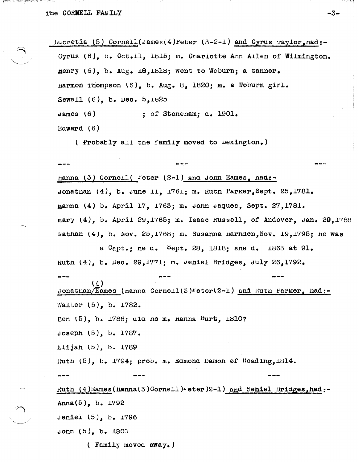(1988년 : 1912) 아마운스럽은 이러한 문화가 한 번 있나 가는 ^^^



 $-3-$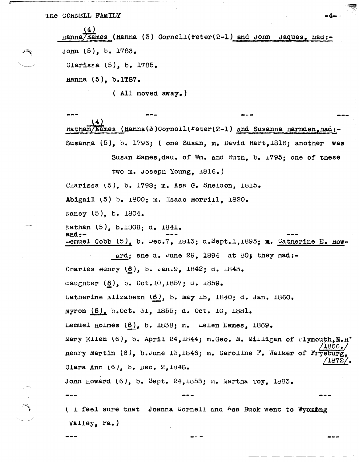$(4)$  $Hama/Examples$  (Hanna (3) Cornell(reter(2-1) and Jonn Jaques, had:-John  $(5)$ , b. 1783. Clarissa (5), b. 1785. Hanna (5), b.1787.

 $($  All moved away.)

 $(4)$ Nathan/Eames (Hanna(3)Cornell(Feter(2-1) and Susanna Harnden, had:-Susanna (5), b. 1796; ( one Susan, m. David Hart, 1816; another was

Susan Eames, dau. of Wm. and Rutn. b. 1795; one of these two m. Joseph Young.  $1816.$ )

Clarissa (5), b. 1798; m. Asa G. Sneidon, 1815.

Abigail (5) b. 1800; m. Isaac morrill, 1820.

Nancy (5), b. 1804.

Nathan (5), b.1808; d. 1841.  $and:-$ Lemuel Cobb  $(5)$ , b.  $\nu$ ec.7, 1813; a. Sept.1,1895; m. Catherine E. How-

ard; sne  $a$ . June 29. 1894 at 80; they had:-Charles Henry (6), b. Jan.9, 1842; d. 1843. aaugnter (6), b. Oct.10,1857; a. 1859. Catherine Elizabeth  $(6)$ , b. may 15, 1840; d. Jan. 1860. Myron (6), b.Oct. 31, 1855; d. Oct. 10, 1881. Lemuel noimes (6), b. 1838; m. melen Eames, 1869. mary Ellen (6), b. April 24,1844; m. Geo. M. Milligan of rlymouth. N. H'  $1866$  . nenry Martin  $(6)$ , b. June 13, 1846; m. Caroline F. Walker of Fryeburg  $'1872$ Clara Ann  $(6)$ , b. Dec.  $2,1848$ . Jonn noward (6), b. Sept. 24, 1853; m. Martna Toy, 1883.

( I feel sure that Joanna Cornell and Asa Buck went to Wyombng  $V$ alley, Pa.)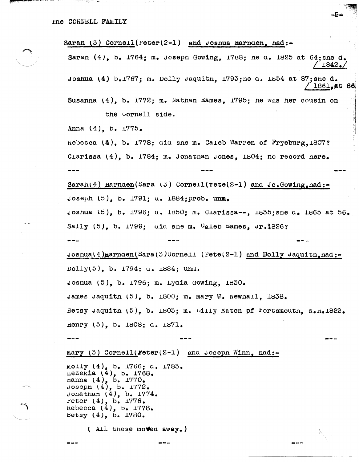Saran  $(3)$  Cornell (reter(2-1) and Josnua marnden, had:-Saran (4), b. 1764; m. Joseph Gowing, 1788; ne a. 1825 at 64; sne d.  $1842$ . Joshua (4)  $b_{\bullet}1767$ ; m. Dolly Jaquitn. 1793; ne d. 1854 at 87; sne d.  $'$  1861,at 86 Susanna (4), b. 1772; m. Nathan Eames, 1795; ne was her cousin on the cornell side. Anna  $(4)$ , b.  $1775$ . Rebecca  $(\Delta)$ , b. 1778; aid sne m. Caleb Warren of Fryeburg, 1807? Clarissa  $(4)$ , b.  $1784$ ; m. Jonathan Jones,  $1804$ ; no record nere. Sarah(4) Harnden(Sara (5) Cornell(rete(2-1) and Jo.Gowing, nad:-Joseph  $(5)$ , b. 1791; u. 1884; prob. unm. Joshua (5), b. 1796; d. 1850; m. Clarissa--, 1835; sne d. 1865 at 56. Saily  $(5)$ , b. 1799; aid she m. Caleb Lames, Jr.1826? Joshua(4)marnaen(Sara(3)Cornell (Pete(2-1) and Dolly Jaquitn, nad:- $Dolly(5)$ , b. 1794; a. 1884; unm. Josnua (5), b.  $1796$ ; m. Lydia Gowing,  $1830$ . James Jaquitn  $(5)$ , b.  $1800$ ; m. Mary W. Newnall,  $1838$ . Betsy Jaquitn  $(5)$ , b. 1803; m. Lilly Eaton of Fortsmoutn. N.n.1822. Henry (5), b. 1808: a. 1871. Mary  $(3)$  Cornell(Feter(2-1) and Joseph Winn, had:molly (4), b. 1766; a. 1783. nezekia  $(4)$ , b. 1768. nanna (4), b. 1770.<br>Joseph (4), b. 1772. Jonathan  $(4)$ , b.  $1774$ . Feter  $(4)$ , b.  $1776$ . rebecca  $(4)$ , b.  $1778$ . Betsy  $(4)$ , b. 1780. (All these moved away.)